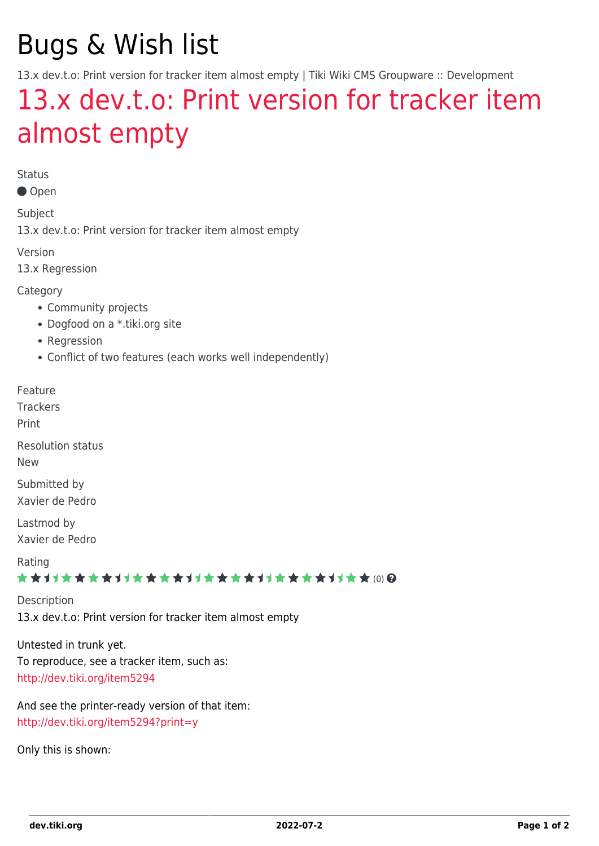# Bugs & Wish list

13.x dev.t.o: Print version for tracker item almost empty | Tiki Wiki CMS Groupware :: Development

## [13.x dev.t.o: Print version for tracker item](https://dev.tiki.org/item5526-13-x-dev-t-o-Print-version-for-tracker-item-almost-empty) [almost empty](https://dev.tiki.org/item5526-13-x-dev-t-o-Print-version-for-tracker-item-almost-empty)

Status

Open

Subject

13.x dev.t.o: Print version for tracker item almost empty

Version

13.x Regression

Category

- Community projects
- Dogfood on a \*.tiki.org site
- Regression
- Conflict of two features (each works well independently)

Feature

**Trackers** 

Print

Resolution status

New

Submitted by Xavier de Pedro

Lastmod by Xavier de Pedro

Rating

#### \*\*\*\*\*\*\*\*\*\*\*\*\*\*\*\*\*\*\*\*\*\*\*\*\*\*\*\*\*\*

**Description** 13.x dev.t.o: Print version for tracker item almost empty

Untested in trunk yet. To reproduce, see a tracker item, such as: <http://dev.tiki.org/item5294>

And see the printer-ready version of that item: <http://dev.tiki.org/item5294?print=y>

Only this is shown: